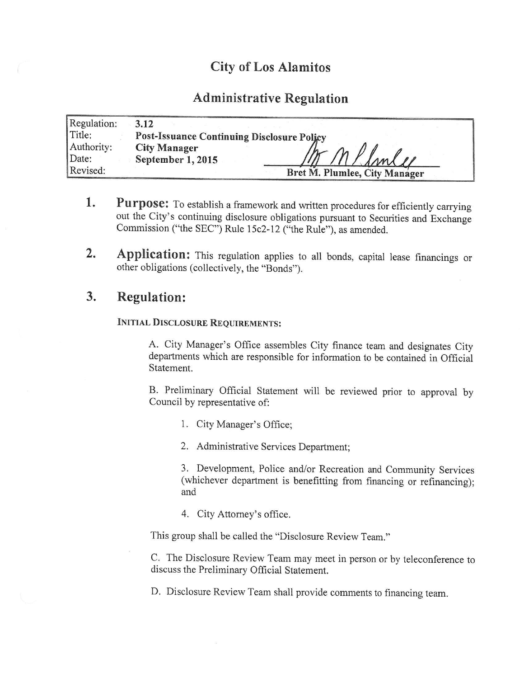# City of Los Alamitos

# Administrative Regulation

| Regulation: | 3.12                                              |
|-------------|---------------------------------------------------|
| Title:      | <b>Post-Issuance Continuing Disclosure Policy</b> |
| Authority:  | <b>City Manager</b>                               |
| Date:       | September 1, 2015<br>mlee                         |
| Revised:    | Bret M. Plumlee, City Manager                     |

- 1. Purpose: To establish a framework and written procedures for efficiently carrying out the City's continuing disclosure obligations pursuant to Securities and Exchange Commission ("the SEC") Rule 15c2-12 ("the Rule"), as amended.
- 2. Application: This regulation applies to all bonds, capital lease financings or other obligations (collectively, the "Bonds").

# 3. Regulation:

### INITIAL DISCLOSURE REQUIREMENTS:

A. City Manager's Office assembles City finance team and designates City departments which are responsible for information to be contained in Official Statement.

B. Preliminary Official Statement will be reviewed prior to approval by Council by representative of:

- 1. City Manager's Office;
- 2. Administrative Services Department;

3. Development, Police and/or Recreation and Community Services whichever department is benefitting from financing or refinancing); and

4. City Attorney's office.

This group shall be called the "Disclosure Review Team."

C. The Disclosure Review Team may meet in person or by teleconference to discuss the Preliminary Official Statement.

D. Disclosure Review Team shall provide comments to financing team.